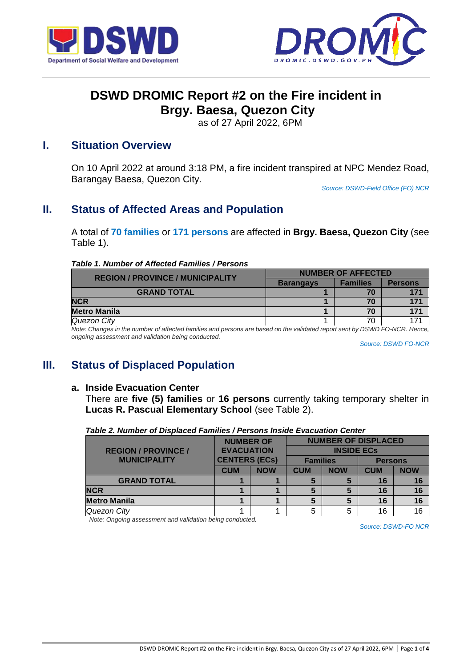



# **DSWD DROMIC Report #2 on the Fire incident in Brgy. Baesa, Quezon City**

as of 27 April 2022, 6PM

## **I. Situation Overview**

On 10 April 2022 at around 3:18 PM, a fire incident transpired at NPC Mendez Road, Barangay Baesa, Quezon City.

*Source: DSWD-Field Office (FO) NCR*

# **II. Status of Affected Areas and Population**

A total of **70 families** or **171 persons** are affected in **Brgy. Baesa, Quezon City** (see Table 1).

#### *Table 1. Number of Affected Families / Persons*

| <b>REGION / PROVINCE / MUNICIPALITY</b> | <b>NUMBER OF AFFECTED</b> |                 |                |  |
|-----------------------------------------|---------------------------|-----------------|----------------|--|
|                                         | <b>Barangays</b>          | <b>Families</b> | <b>Persons</b> |  |
| <b>GRAND TOTAL</b>                      |                           | 70              | 171            |  |
| <b>NCR</b>                              |                           | 70              | 171            |  |
| <b>Metro Manila</b>                     |                           | 70              | 171            |  |
| Quezon City                             |                           | 70              | 171            |  |

*Note: Changes in the number of affected families and persons are based on the validated report sent by DSWD FO-NCR. Hence, ongoing assessment and validation being conducted.* 

*Source: DSWD FO-NCR*

## **III. Status of Displaced Population**

#### **a. Inside Evacuation Center**

There are **five (5) families** or **16 persons** currently taking temporary shelter in **Lucas R. Pascual Elementary School** (see Table 2).

| Table 2. Number of Displaced Families / Persons Inside Evacuation Center |  |
|--------------------------------------------------------------------------|--|
|--------------------------------------------------------------------------|--|

|                            | <b>NUMBER OF</b>     |            | <b>NUMBER OF DISPLACED</b> |            |                |            |
|----------------------------|----------------------|------------|----------------------------|------------|----------------|------------|
| <b>REGION / PROVINCE /</b> | <b>EVACUATION</b>    |            | <b>INSIDE ECS</b>          |            |                |            |
| <b>MUNICIPALITY</b>        | <b>CENTERS (ECs)</b> |            | <b>Families</b>            |            | <b>Persons</b> |            |
|                            | <b>CUM</b>           | <b>NOW</b> | <b>CUM</b>                 | <b>NOW</b> | <b>CUM</b>     | <b>NOW</b> |
| <b>GRAND TOTAL</b>         |                      |            | 5                          | 5          | 16             | 16         |
| <b>NCR</b>                 |                      |            | 5                          | 5          | 16             | 16         |
| <b>Metro Manila</b>        |                      |            | 5                          | 5          | 16             | 16         |
| Quezon City                |                      |            | 5                          | 5          | 16             | 16         |

*Note: Ongoing assessment and validation being conducted.*

*Source: DSWD-FO NCR*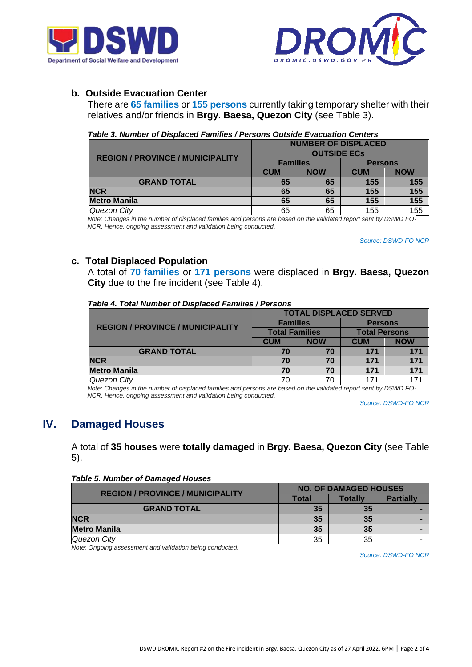



## **b. Outside Evacuation Center**

There are **65 families** or **155 persons** currently taking temporary shelter with their relatives and/or friends in **Brgy. Baesa, Quezon City** (see Table 3).

|  | Table 3. Number of Displaced Families / Persons Outside Evacuation Centers |
|--|----------------------------------------------------------------------------|
|  |                                                                            |

|                                         | <b>NUMBER OF DISPLACED</b> |            |                |            |
|-----------------------------------------|----------------------------|------------|----------------|------------|
| <b>REGION / PROVINCE / MUNICIPALITY</b> | <b>OUTSIDE ECS</b>         |            |                |            |
|                                         | <b>Families</b>            |            | <b>Persons</b> |            |
|                                         | <b>CUM</b>                 | <b>NOW</b> | <b>CUM</b>     | <b>NOW</b> |
| <b>GRAND TOTAL</b>                      | 65                         | 65         | 155            | 155        |
| <b>NCR</b>                              | 65                         | 65         | 155            | 155        |
| <b>Metro Manila</b>                     | 65                         | 65         | 155            | 155        |
| Quezon City                             | 65                         | 65         | 155            | 155        |

 *Note: Changes in the number of displaced families and persons are based on the validated report sent by DSWD FO- NCR. Hence, ongoing assessment and validation being conducted.* 

*Source: DSWD-FO NCR*

## **c. Total Displaced Population**

A total of **70 families** or **171 persons** were displaced in **Brgy. Baesa, Quezon City** due to the fire incident (see Table 4).

#### *Table 4. Total Number of Displaced Families / Persons*

|                                         | <b>TOTAL DISPLACED SERVED</b> |            |                      |            |  |
|-----------------------------------------|-------------------------------|------------|----------------------|------------|--|
| <b>REGION / PROVINCE / MUNICIPALITY</b> | <b>Families</b>               |            | <b>Persons</b>       |            |  |
|                                         | <b>Total Families</b>         |            | <b>Total Persons</b> |            |  |
|                                         | <b>CUM</b>                    | <b>NOW</b> | <b>CUM</b>           | <b>NOW</b> |  |
| <b>GRAND TOTAL</b>                      | 70                            | 70         | 171                  | 171        |  |
| <b>NCR</b>                              | 70                            | 70         | 171                  | 171        |  |
| <b>Metro Manila</b>                     | 70                            | 70         | 171                  | 171        |  |
| Quezon City                             | 70                            | 70         | 171                  | 171        |  |

 *Note: Changes in the number of displaced families and persons are based on the validated report sent by DSWD FO- NCR. Hence, ongoing assessment and validation being conducted.* 

*Source: DSWD-FO NCR*

## **IV. Damaged Houses**

A total of **35 houses** were **totally damaged** in **Brgy. Baesa, Quezon City** (see Table 5).

| <b>Table 5. Number of Damaged Houses</b> |
|------------------------------------------|
|------------------------------------------|

| <b>REGION / PROVINCE / MUNICIPALITY</b> | <b>NO. OF DAMAGED HOUSES</b> |         |                  |  |
|-----------------------------------------|------------------------------|---------|------------------|--|
|                                         | Total                        | Totallv | <b>Partially</b> |  |
| <b>GRAND TOTAL</b>                      | 35                           | 35      |                  |  |
| <b>NCR</b>                              | 35                           | 35      |                  |  |
| <b>Metro Manila</b>                     | 35                           | 35      |                  |  |
| Quezon City                             | 35                           | 35      |                  |  |

*Note: Ongoing assessment and validation being conducted.*

*Source: DSWD-FO NCR*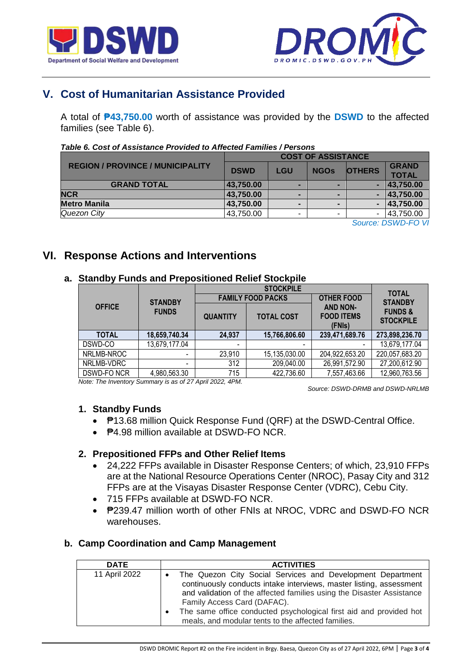



# **V. Cost of Humanitarian Assistance Provided**

A total of **₱43,750.00** worth of assistance was provided by the **DSWD** to the affected families (see Table 6).

| י טווטט ווי ניטווווועט ו ווי טוווווועט ווי טוווווועט ווי טוווווועט ווי ווי טוווווועט ו |                           |                |                |                |              |  |
|----------------------------------------------------------------------------------------|---------------------------|----------------|----------------|----------------|--------------|--|
|                                                                                        | <b>COST OF ASSISTANCE</b> |                |                |                |              |  |
| <b>REGION / PROVINCE / MUNICIPALITY</b>                                                | <b>DSWD</b>               | <b>LGU</b>     | <b>NGOS</b>    | <b>OTHERS</b>  | <b>GRAND</b> |  |
|                                                                                        |                           |                |                |                | <b>TOTAL</b> |  |
| <b>GRAND TOTAL</b>                                                                     | 43,750.00                 | $\blacksquare$ | -              | ٠              | 43,750.00    |  |
| <b>NCR</b>                                                                             | 43,750.00                 | $\blacksquare$ | $\blacksquare$ | ۰.             | 43,750.00    |  |
| <b>Metro Manila</b>                                                                    | 43,750.00                 | $\blacksquare$ | $\blacksquare$ | $\blacksquare$ | 43,750.00    |  |
| Quezon City                                                                            | 43,750.00                 | ۰              | ۰              | ٠.             | 43,750.00    |  |
| $\sim$                                                                                 |                           |                |                |                |              |  |

#### *Table 6. Cost of Assistance Provided to Affected Families / Persons*

*Source: DSWD-FO VI*

## **VI. Response Actions and Interventions**

## **a. Standby Funds and Prepositioned Relief Stockpile**

|               |                          |                 | <b>TOTAL</b>             |                                                |                                        |  |
|---------------|--------------------------|-----------------|--------------------------|------------------------------------------------|----------------------------------------|--|
|               | <b>STANDBY</b>           |                 | <b>FAMILY FOOD PACKS</b> | <b>OTHER FOOD</b>                              | <b>STANDBY</b>                         |  |
| <b>OFFICE</b> | <b>FUNDS</b>             | <b>QUANTITY</b> | <b>TOTAL COST</b>        | <b>AND NON-</b><br><b>FOOD ITEMS</b><br>(FNIs) | <b>FUNDS &amp;</b><br><b>STOCKPILE</b> |  |
| <b>TOTAL</b>  | 18,659,740.34            | 24,937          | 15,766,806.60            | 239,471,689.76                                 | 273,898,236.70                         |  |
| DSWD-CO       | 13,679,177.04            | ٠               |                          |                                                | 13,679,177.04                          |  |
| NRLMB-NROC    |                          | 23,910          | 15,135,030.00            | 204,922,653.20                                 | 220,057,683.20                         |  |
| NRLMB-VDRC    | $\overline{\phantom{0}}$ | 312             | 209,040.00               | 26,991,572.90                                  | 27,200,612.90                          |  |
| DSWD-FO NCR   | 4,980,563.30             | 715             | 422,736.60               | 7,557,463.66                                   | 12,960,763.56                          |  |

*Note: The Inventory Summary is as of 27 April 2022, 4PM.*

 *Source: DSWD-DRMB and DSWD-NRLMB*

## **1. Standby Funds**

- ₱13.68 million Quick Response Fund (QRF) at the DSWD-Central Office.
- **₱4.98 million available at DSWD-FO NCR.**

## **2. Prepositioned FFPs and Other Relief Items**

- 24,222 FFPs available in Disaster Response Centers; of which, 23,910 FFPs are at the National Resource Operations Center (NROC), Pasay City and 312 FFPs are at the Visayas Disaster Response Center (VDRC), Cebu City.
- 715 FFPs available at DSWD-FO NCR.
- P239.47 million worth of other FNIs at NROC, VDRC and DSWD-FO NCR warehouses.

## **b. Camp Coordination and Camp Management**

| <b>DATE</b>   | <b>ACTIVITIES</b>                                                                                                                                                                                                                                                                                                                                                                               |
|---------------|-------------------------------------------------------------------------------------------------------------------------------------------------------------------------------------------------------------------------------------------------------------------------------------------------------------------------------------------------------------------------------------------------|
| 11 April 2022 | The Quezon City Social Services and Development Department<br>$\bullet$<br>continuously conducts intake interviews, master listing, assessment<br>and validation of the affected families using the Disaster Assistance<br>Family Access Card (DAFAC).<br>The same office conducted psychological first aid and provided hot<br>$\bullet$<br>meals, and modular tents to the affected families. |